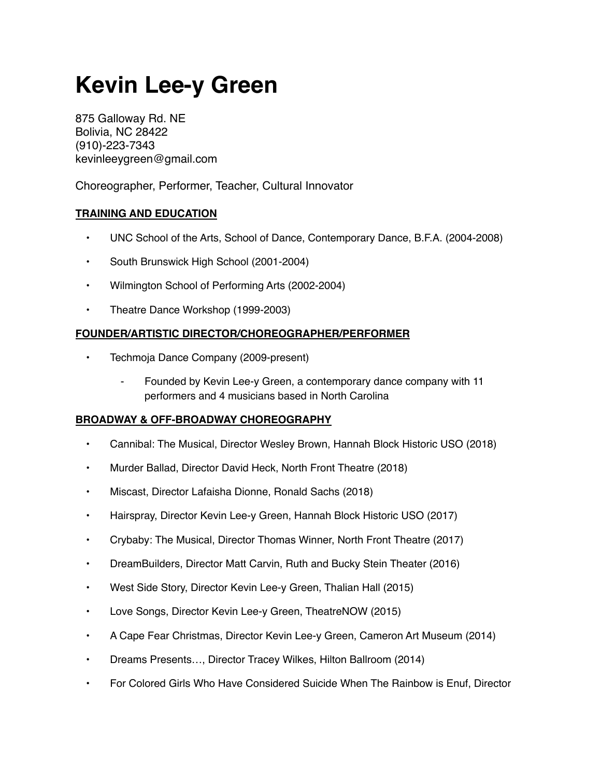# **Kevin Lee-y Green**

875 Galloway Rd. NE Bolivia, NC 28422 (910)-223-7343 kevinleeygreen@gmail.com

Choreographer, Performer, Teacher, Cultural Innovator

# **TRAINING AND EDUCATION**

- UNC School of the Arts, School of Dance, Contemporary Dance, B.F.A. (2004-2008)
- South Brunswick High School (2001-2004)
- Wilmington School of Performing Arts (2002-2004)
- Theatre Dance Workshop (1999-2003)

# **FOUNDER/ARTISTIC DIRECTOR/CHOREOGRAPHER/PERFORMER**

- Techmoja Dance Company (2009-present)
	- Founded by Kevin Lee-y Green, a contemporary dance company with 11 performers and 4 musicians based in North Carolina

# **BROADWAY & OFF-BROADWAY CHOREOGRAPHY**

- Cannibal: The Musical, Director Wesley Brown, Hannah Block Historic USO (2018)
- Murder Ballad, Director David Heck, North Front Theatre (2018)
- Miscast, Director Lafaisha Dionne, Ronald Sachs (2018)
- Hairspray, Director Kevin Lee-y Green, Hannah Block Historic USO (2017)
- Crybaby: The Musical, Director Thomas Winner, North Front Theatre (2017)
- DreamBuilders, Director Matt Carvin, Ruth and Bucky Stein Theater (2016)
- West Side Story, Director Kevin Lee-y Green, Thalian Hall (2015)
- Love Songs, Director Kevin Lee-y Green, TheatreNOW (2015)
- A Cape Fear Christmas, Director Kevin Lee-y Green, Cameron Art Museum (2014)
- Dreams Presents…, Director Tracey Wilkes, Hilton Ballroom (2014)
- For Colored Girls Who Have Considered Suicide When The Rainbow is Enuf, Director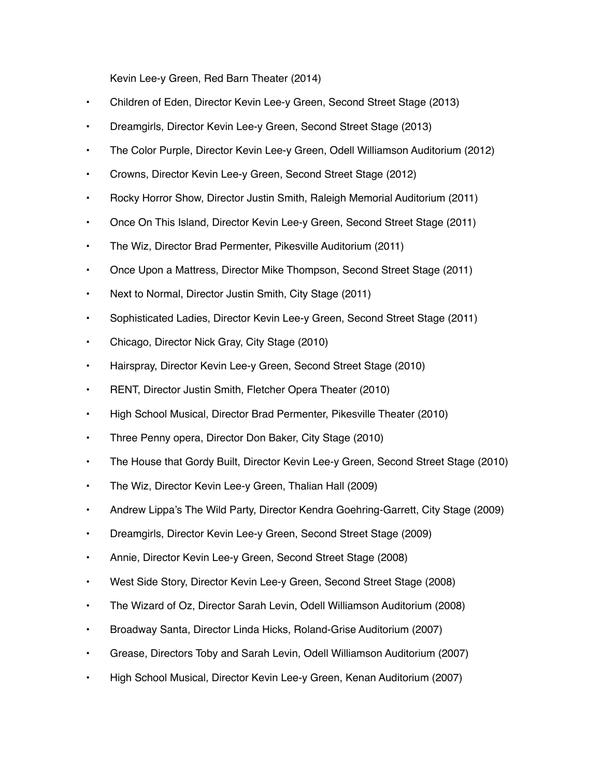Kevin Lee-y Green, Red Barn Theater (2014)

- Children of Eden, Director Kevin Lee-y Green, Second Street Stage (2013)
- Dreamgirls, Director Kevin Lee-y Green, Second Street Stage (2013)
- The Color Purple, Director Kevin Lee-y Green, Odell Williamson Auditorium (2012)
- Crowns, Director Kevin Lee-y Green, Second Street Stage (2012)
- Rocky Horror Show, Director Justin Smith, Raleigh Memorial Auditorium (2011)
- Once On This Island, Director Kevin Lee-y Green, Second Street Stage (2011)
- The Wiz, Director Brad Permenter, Pikesville Auditorium (2011)
- Once Upon a Mattress, Director Mike Thompson, Second Street Stage (2011)
- Next to Normal, Director Justin Smith, City Stage (2011)
- Sophisticated Ladies, Director Kevin Lee-y Green, Second Street Stage (2011)
- Chicago, Director Nick Gray, City Stage (2010)
- Hairspray, Director Kevin Lee-y Green, Second Street Stage (2010)
- RENT, Director Justin Smith, Fletcher Opera Theater (2010)
- High School Musical, Director Brad Permenter, Pikesville Theater (2010)
- Three Penny opera, Director Don Baker, City Stage (2010)
- The House that Gordy Built, Director Kevin Lee-y Green, Second Street Stage (2010)
- The Wiz, Director Kevin Lee-y Green, Thalian Hall (2009)
- Andrew Lippa's The Wild Party, Director Kendra Goehring-Garrett, City Stage (2009)
- Dreamgirls, Director Kevin Lee-y Green, Second Street Stage (2009)
- Annie, Director Kevin Lee-y Green, Second Street Stage (2008)
- West Side Story, Director Kevin Lee-y Green, Second Street Stage (2008)
- The Wizard of Oz, Director Sarah Levin, Odell Williamson Auditorium (2008)
- Broadway Santa, Director Linda Hicks, Roland-Grise Auditorium (2007)
- Grease, Directors Toby and Sarah Levin, Odell Williamson Auditorium (2007)
- High School Musical, Director Kevin Lee-y Green, Kenan Auditorium (2007)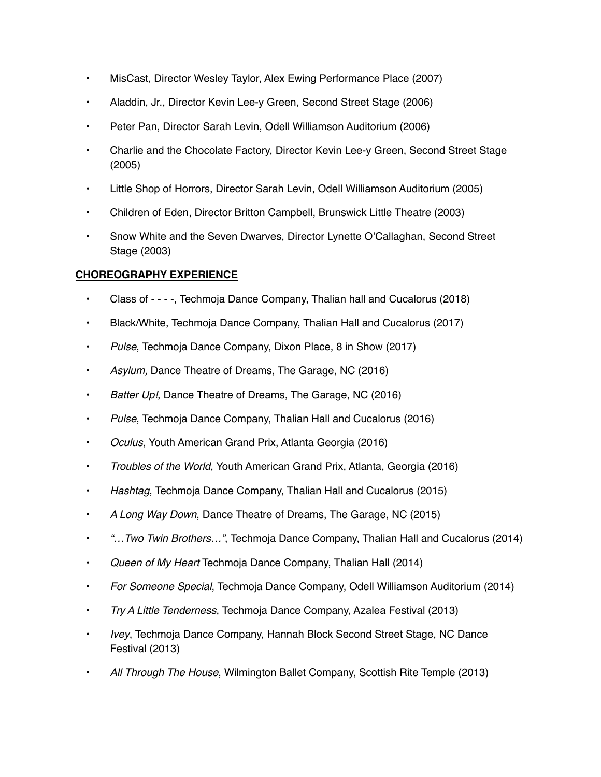- MisCast, Director Wesley Taylor, Alex Ewing Performance Place (2007)
- Aladdin, Jr., Director Kevin Lee-y Green, Second Street Stage (2006)
- Peter Pan, Director Sarah Levin, Odell Williamson Auditorium (2006)
- Charlie and the Chocolate Factory, Director Kevin Lee-y Green, Second Street Stage (2005)
- Little Shop of Horrors, Director Sarah Levin, Odell Williamson Auditorium (2005)
- Children of Eden, Director Britton Campbell, Brunswick Little Theatre (2003)
- Snow White and the Seven Dwarves, Director Lynette O'Callaghan, Second Street Stage (2003)

#### **CHOREOGRAPHY EXPERIENCE**

- Class of - -, Techmoja Dance Company, Thalian hall and Cucalorus (2018)
- Black/White, Techmoja Dance Company, Thalian Hall and Cucalorus (2017)
- *Pulse*, Techmoja Dance Company, Dixon Place, 8 in Show (2017)
- *Asylum,* Dance Theatre of Dreams, The Garage, NC (2016)
- *Batter Up!*, Dance Theatre of Dreams, The Garage, NC (2016)
- *Pulse*, Techmoja Dance Company, Thalian Hall and Cucalorus (2016)
- *Oculus*, Youth American Grand Prix, Atlanta Georgia (2016)
- *Troubles of the World*, Youth American Grand Prix, Atlanta, Georgia (2016)
- *Hashtag*, Techmoja Dance Company, Thalian Hall and Cucalorus (2015)
- *A Long Way Down*, Dance Theatre of Dreams, The Garage, NC (2015)
- *"…Two Twin Brothers…"*, Techmoja Dance Company, Thalian Hall and Cucalorus (2014)
- *Queen of My Heart* Techmoja Dance Company, Thalian Hall (2014)
- *For Someone Special*, Techmoja Dance Company, Odell Williamson Auditorium (2014)
- *Try A Little Tenderness*, Techmoja Dance Company, Azalea Festival (2013)
- *Ivey*, Techmoja Dance Company, Hannah Block Second Street Stage, NC Dance Festival (2013)
- *All Through The House*, Wilmington Ballet Company, Scottish Rite Temple (2013)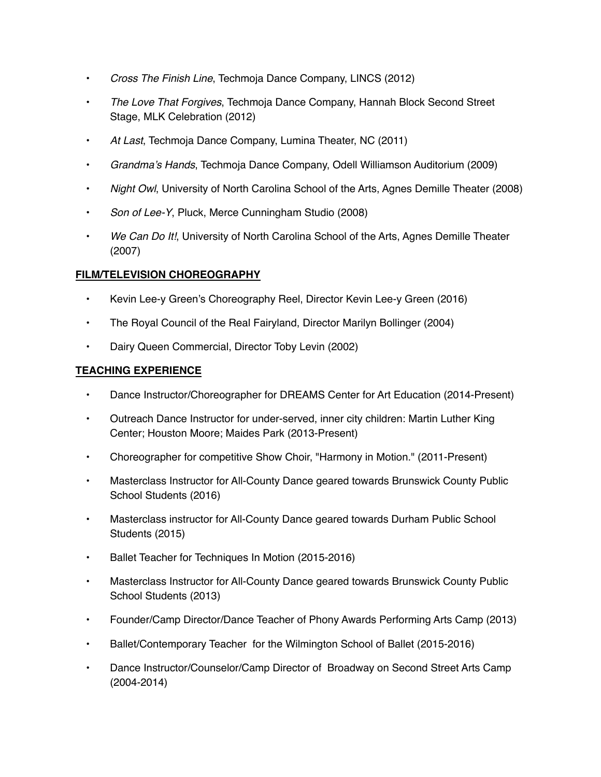- *Cross The Finish Line*, Techmoja Dance Company, LINCS (2012)
- *The Love That Forgives*, Techmoja Dance Company, Hannah Block Second Street Stage, MLK Celebration (2012)
- *At Last*, Techmoja Dance Company, Lumina Theater, NC (2011)
- *Grandma's Hands*, Techmoja Dance Company, Odell Williamson Auditorium (2009)
- *Night Owl*, University of North Carolina School of the Arts, Agnes Demille Theater (2008)
- *Son of Lee-Y*, Pluck, Merce Cunningham Studio (2008)
- *We Can Do It!*, University of North Carolina School of the Arts, Agnes Demille Theater (2007)

# **FILM/TELEVISION CHOREOGRAPHY**

- Kevin Lee-y Green's Choreography Reel, Director Kevin Lee-y Green (2016)
- The Royal Council of the Real Fairyland, Director Marilyn Bollinger (2004)
- Dairy Queen Commercial, Director Toby Levin (2002)

#### **TEACHING EXPERIENCE**

- Dance Instructor/Choreographer for DREAMS Center for Art Education (2014-Present)
- Outreach Dance Instructor for under-served, inner city children: Martin Luther King Center; Houston Moore; Maides Park (2013-Present)
- Choreographer for competitive Show Choir, "Harmony in Motion." (2011-Present)
- Masterclass Instructor for All-County Dance geared towards Brunswick County Public School Students (2016)
- Masterclass instructor for All-County Dance geared towards Durham Public School Students (2015)
- Ballet Teacher for Techniques In Motion (2015-2016)
- Masterclass Instructor for All-County Dance geared towards Brunswick County Public School Students (2013)
- Founder/Camp Director/Dance Teacher of Phony Awards Performing Arts Camp (2013)
- Ballet/Contemporary Teacher for the Wilmington School of Ballet (2015-2016)
- Dance Instructor/Counselor/Camp Director of Broadway on Second Street Arts Camp (2004-2014)